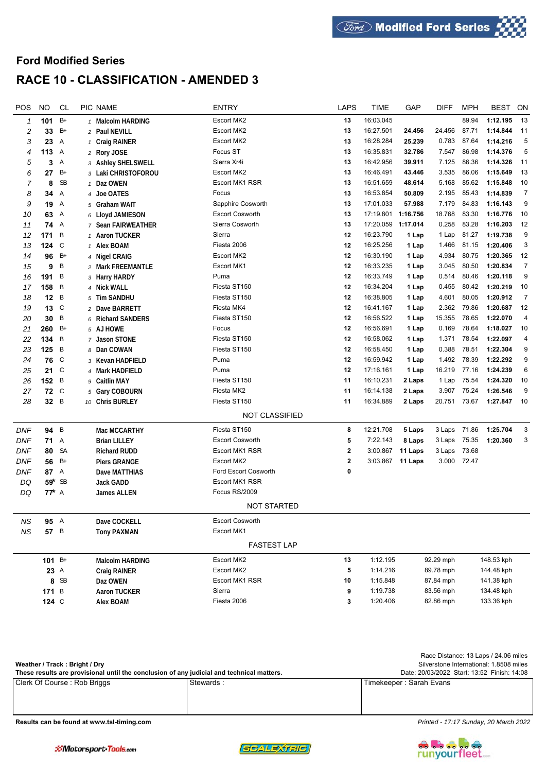## **Ford Modified Series RACE 10 - CLASSIFICATION - AMENDED 3**

| POS        | <b>NO</b>       | <b>CL</b>    | PIC NAME            | <b>ENTRY</b>           | <b>LAPS</b>  | <b>TIME</b> | GAP      | <b>DIFF</b>  | <b>MPH</b>  | <b>BEST</b> | ON             |
|------------|-----------------|--------------|---------------------|------------------------|--------------|-------------|----------|--------------|-------------|-------------|----------------|
| 1          | 101             | $B+$         | 1 Malcolm HARDING   | Escort MK2             | 13           | 16:03.045   |          |              | 89.94       | 1:12.195    | 13             |
| 2          | 33              | $B+$         | 2 Paul NEVILL       | Escort MK2             | 13           | 16:27.501   | 24.456   | 24.456       | 87.71       | 1:14.844    | 11             |
| 3          | 23              | Α            | 1 Craig RAINER      | Escort MK2             | 13           | 16:28.284   | 25.239   | 0.783        | 87.64       | 1:14.216    | 5              |
| 4          | 113             | Α            | 2 Rory JOSE         | Focus ST               | 13           | 16:35.831   | 32.786   | 7.547        | 86.98       | 1:14.376    | 5              |
| 5          | 3               | Α            | 3 Ashley SHELSWELL  | Sierra Xr4i            | 13           | 16:42.956   | 39.911   | 7.125        | 86.36       | 1:14.326    | 11             |
| 6          | 27              | $B+$         | 3 Laki CHRISTOFOROU | Escort MK2             | 13           | 16:46.491   | 43.446   | 3.535        | 86.06       | 1:15.649    | 13             |
| 7          | 8               | <b>SB</b>    | 1 Daz OWEN          | <b>Escort MK1 RSR</b>  | 13           | 16:51.659   | 48.614   | 5.168        | 85.62       | 1:15.848    | 10             |
| 8          | 34              | Α            | 4 Joe OATES         | Focus                  | 13           | 16:53.854   | 50.809   | 2.195        | 85.43       | 1:14.839    | $\overline{7}$ |
| 9          | 19              | Α            | 5 Graham WAIT       | Sapphire Cosworth      | 13           | 17:01.033   | 57.988   | 7.179        | 84.83       | 1:16.143    | 9              |
| 10         | 63              | Α            | 6 Lloyd JAMIESON    | <b>Escort Cosworth</b> | 13           | 17:19.801   | 1:16.756 | 18.768       | 83.30       | 1:16.776    | 10             |
| 11         | 74              | А            | 7 Sean FAIRWEATHER  | Sierra Cosworth        | 13           | 17:20.059   | 1:17.014 | 0.258        | 83.28       | 1:16.203    | 12             |
| 12         | 171             | B            | 1 Aaron TUCKER      | Sierra                 | 12           | 16:23.790   | 1 Lap    | 1 Lap        | 81.27       | 1:19.738    | 9              |
| 13         | 124             | $\mathbb C$  | 1 Alex BOAM         | Fiesta 2006            | 12           | 16:25.256   | 1 Lap    | 1.466        | 81.15       | 1:20.406    | $\sqrt{3}$     |
| 14         | 96              | $B+$         | 4 Nigel CRAIG       | Escort MK2             | 12           | 16:30.190   | 1 Lap    | 4.934        | 80.75       | 1:20.365    | 12             |
| 15         | 9               | B            | 2 Mark FREEMANTLE   | Escort MK1             | 12           | 16:33.235   | 1 Lap    | 3.045        | 80.50       | 1:20.834    | $\overline{7}$ |
| 16         | 191             | B            | 3 Harry HARDY       | Puma                   | 12           | 16:33.749   | 1 Lap    | 0.514        | 80.46       | 1:20.118    | 9              |
| 17         | 158             | B            | 4 Nick WALL         | Fiesta ST150           | 12           | 16:34.204   | 1 Lap    | 0.455        | 80.42       | 1:20.219    | 10             |
| 18         | 12              | B            | 5 Tim SANDHU        | Fiesta ST150           | 12           | 16:38.805   | 1 Lap    | 4.601        | 80.05       | 1:20.912    | $\overline{7}$ |
| 19         | 13              | $\mathbb C$  | 2 Dave BARRETT      | Fiesta MK4             | 12           | 16:41.167   | 1 Lap    | 2.362        | 79.86       | 1:20.687    | 12             |
| 20         | 30              | Β            | 6 Richard SANDERS   | Fiesta ST150           | 12           | 16:56.522   | 1 Lap    | 15.355       | 78.65       | 1:22.070    | 4              |
| 21         | 260             | $B+$         | 5 AJ HOWE           | Focus                  | 12           | 16:56.691   | 1 Lap    | 0.169        | 78.64       | 1:18.027    | 10             |
| 22         | 134             | B            | 7 Jason STONE       | Fiesta ST150           | 12           | 16:58.062   | 1 Lap    | 1.371        | 78.54       | 1:22.097    | 4              |
| 23         | 125             | B            | 8 Dan COWAN         | Fiesta ST150           | 12           | 16:58.450   | 1 Lap    | 0.388        | 78.51       | 1:22.304    | 9              |
| 24         | 76              | C            | 3 Kevan HADFIELD    | Puma                   | 12           | 16:59.942   | 1 Lap    | 1.492        | 78.39       | 1:22.292    | 9              |
| 25         | 21              | $\mathbb C$  | 4 Mark HADFIELD     | Puma                   | 12           | 17:16.161   | 1 Lap    | 16.219       | 77.16       | 1:24.239    | 6              |
| 26         | 152             | B            | 9 Caitlin MAY       | Fiesta ST150           | 11           | 16:10.231   | 2 Laps   | 1 Lap        | 75.54       | 1:24.320    | 10             |
| 27         | 72              | $\mathsf{C}$ | 5 Gary COBOURN      | Fiesta MK2             | 11           | 16:14.138   | 2 Laps   | 3.907        | 75.24       | 1:26.546    | 9              |
| 28         | 32 <sub>2</sub> | B            | 10 Chris BURLEY     | Fiesta ST150           | 11           | 16:34.889   | 2 Laps   | 20.751       | 73.67       | 1:27.847    | 10             |
|            |                 |              |                     | NOT CLASSIFIED         |              |             |          |              |             |             |                |
|            |                 |              |                     |                        |              |             |          |              |             |             |                |
| <b>DNF</b> | 94 B            |              | Mac MCCARTHY        | Fiesta ST150           | 8            | 12:21.708   | 5 Laps   | 3 Laps 71.86 |             | 1:25.704    | 3              |
| DNF        | 71              | Α            | <b>Brian LILLEY</b> | <b>Escort Cosworth</b> | 5            | 7:22.143    | 8 Laps   | 3 Laps       | 75.35       | 1:20.360    | 3              |
| DNF        | 80              | <b>SA</b>    | <b>Richard RUDD</b> | <b>Escort MK1 RSR</b>  | $\mathbf{2}$ | 3:00.867    | 11 Laps  | 3 Laps       | 73.68       |             |                |
| DNF        | 56              | $B+$         | <b>Piers GRANGE</b> | Escort MK2             | $\mathbf{2}$ | 3:03.867    | 11 Laps  |              | 3.000 72.47 |             |                |
| <b>DNF</b> | 87              | $\mathsf{A}$ | Dave MATTHIAS       | Ford Escort Cosworth   | 0            |             |          |              |             |             |                |
| DQ         | 59* SB          |              | Jack GADD           | Escort MK1 RSR         |              |             |          |              |             |             |                |
| DQ         | $77^*$ A        |              | James ALLEN         | Focus RS/2009          |              |             |          |              |             |             |                |
|            |                 |              |                     | <b>NOT STARTED</b>     |              |             |          |              |             |             |                |
| ΝS         | 95 A            |              | Dave COCKELL        | <b>Escort Cosworth</b> |              |             |          |              |             |             |                |
| <b>NS</b>  | 57 B            |              | <b>Tony PAXMAN</b>  | Escort MK1             |              |             |          |              |             |             |                |
|            |                 |              |                     | <b>FASTEST LAP</b>     |              |             |          |              |             |             |                |
|            |                 |              |                     | Escort MK2             |              | 1:12.195    |          | 92.29 mph    |             | 148.53 kph  |                |
|            | 101 $B+$        |              | Malcolm HARDING     |                        | 13           |             |          |              |             |             |                |
|            | 23 A            |              | Craig RAINER        | Escort MK2             | 5            | 1:14.216    |          | 89.78 mph    |             | 144.48 kph  |                |
|            |                 | 8 SB         | Daz OWEN            | Escort MK1 RSR         | 10           | 1:15.848    |          | 87.84 mph    |             | 141.38 kph  |                |
|            | 171 $B$         |              | <b>Aaron TUCKER</b> | Sierra                 | 9            | 1:19.738    |          | 83.56 mph    |             | 134.48 kph  |                |
|            | 124 $C$         |              | <b>Alex BOAM</b>    | Fiesta 2006            | 3            | 1:20.406    |          | 82.86 mph    |             | 133.36 kph  |                |

|                                                                                           |                                         | Race Distance: 13 Laps / 24.06 miles        |
|-------------------------------------------------------------------------------------------|-----------------------------------------|---------------------------------------------|
| Weather / Track: Bright / Dry                                                             | Silverstone International: 1.8508 miles |                                             |
| These results are provisional until the conclusion of any judicial and technical matters. |                                         | Date: 20/03/2022 Start: 13:52 Finish: 14:08 |
| Clerk Of Course: Rob Briggs                                                               | Stewards:                               | l Timekeeper : Sarah Evans l                |
|                                                                                           |                                         |                                             |
|                                                                                           |                                         |                                             |

**Results can be found at www.tsl-timing.com** *Printed - 17:17 Sunday, 20 March 2022*



SCALEXTRIC